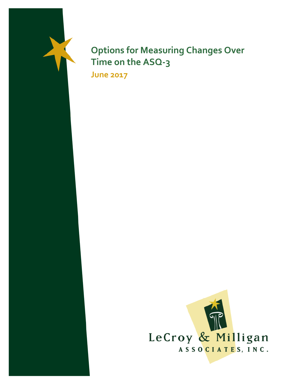

# **Options for Measuring Changes Over Time on the ASQ-3**

**June 2017**

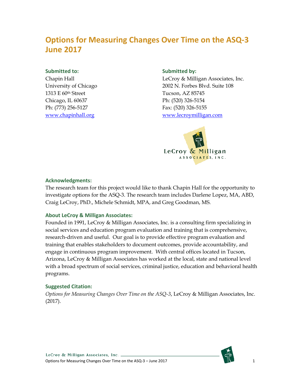### **Options for Measuring Changes Over Time on the ASQ-3 June 2017**

#### **Submitted to:**

Chapin Hall University of Chicago 1313 E 60th Street Chicago, IL 60637 Ph: (773) 256-5127 [www.chapinhall.org](http://www.chapinhall.org/)

#### **Submitted by:**

LeCroy & Milligan Associates, Inc. 2002 N. Forbes Blvd. Suite 108 Tucson, AZ 85745 Ph: (520) 326-5154 Fax: (520) 326-5155 [www.lecroymilligan.com](http://www.lecroymilligan.com/)



#### **Acknowledgments:**

The research team for this project would like to thank Chapin Hall for the opportunity to investigate options for the ASQ-3. The research team includes Darlene Lopez, MA, ABD, Craig LeCroy, PhD., Michele Schmidt, MPA, and Greg Goodman, MS.

#### **About LeCroy & Milligan Associates:**

Founded in 1991, LeCroy & Milligan Associates, Inc. is a consulting firm specializing in social services and education program evaluation and training that is comprehensive, research-driven and useful. Our goal is to provide effective program evaluation and training that enables stakeholders to document outcomes, provide accountability, and engage in continuous program improvement. With central offices located in Tucson, Arizona, LeCroy & Milligan Associates has worked at the local, state and national level with a broad spectrum of social services, criminal justice, education and behavioral health programs.

#### **Suggested Citation:**

*Options for Measuring Changes Over Time on the ASQ-3*, LeCroy & Milligan Associates, Inc. (2017).

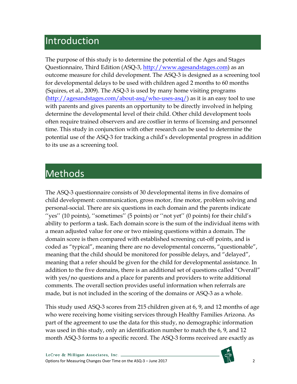## Introduction

The purpose of this study is to determine the potential of the Ages and Stages Questionnaire, Third Edition (ASQ-3, [http://www.agesandstages.com\)](http://www.agesandstages.com/) as an outcome measure for child development. The ASQ-3 is designed as a screening tool for developmental delays to be used with children aged 2 months to 60 months (Squires, et al., 2009). The ASQ-3 is used by many home visiting programs [\(http://agesandstages.com/about-asq/who-uses-asq/\)](http://agesandstages.com/about-asq/who-uses-asq/) as it is an easy tool to use with parents and gives parents an opportunity to be directly involved in helping determine the developmental level of their child. Other child development tools often require trained observers and are costlier in terms of licensing and personnel time. This study in conjunction with other research can be used to determine the potential use of the ASQ-3 for tracking a child's developmental progress in addition to its use as a screening tool.

## Methods

The ASQ-3 questionnaire consists of 30 developmental items in five domains of child development: communication, gross motor, fine motor, problem solving and personal-social. There are six questions in each domain and the parents indicate ''yes'' (10 points), ''sometimes'' (5 points) or ''not yet'' (0 points) for their child's ability to perform a task. Each domain score is the sum of the individual items with a mean adjusted value for one or two missing questions within a domain. The domain score is then compared with established screening cut-off points, and is coded as "typical", meaning there are no developmental concerns, "questionable", meaning that the child should be monitored for possible delays, and "delayed", meaning that a refer should be given for the child for developmental assistance. In addition to the five domains, there is an additional set of questions called "Overall" with yes/no questions and a place for parents and providers to write additional comments. The overall section provides useful information when referrals are made, but is not included in the scoring of the domains or ASQ-3 as a whole.

This study used ASQ-3 scores from 215 children given at 6, 9, and 12 months of age who were receiving home visiting services through Healthy Families Arizona. As part of the agreement to use the data for this study, no demographic information was used in this study, only an identification number to match the 6, 9, and 12 month ASQ-3 forms to a specific record. The ASQ-3 forms received are exactly as

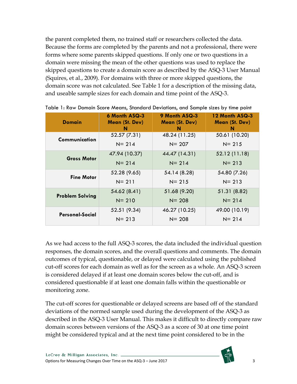the parent completed them, no trained staff or researchers collected the data. Because the forms are completed by the parents and not a professional, there were forms where some parents skipped questions. If only one or two questions in a domain were missing the mean of the other questions was used to replace the skipped questions to create a domain score as described by the ASQ-3 User Manual (Squires, et al., 2009). For domains with three or more skipped questions, the domain score was not calculated. See Table 1 for a description of the missing data, and useable sample sizes for each domain and time point of the ASQ-3.

| <b>Domain</b>          | <b>6 Month ASQ-3</b><br>Mean (St. Dev)<br>N | 9 Month ASQ-3<br>Mean (St. Dev)<br>N | 12 Month ASQ-3<br>Mean (St. Dev)<br>N |  |  |
|------------------------|---------------------------------------------|--------------------------------------|---------------------------------------|--|--|
| Communication          | 52.57 (7.31)                                | 48.24 (11.25)                        | 50.61 (10.20)                         |  |  |
|                        | $N = 214$                                   | $N = 207$                            | $N = 215$                             |  |  |
| <b>Gross Motor</b>     | 47.94 (10.37)                               | 44.47 (14.31)                        | 52.12 (11.18)                         |  |  |
|                        | $N = 214$                                   | $N = 214$                            | $N = 213$                             |  |  |
| <b>Fine Motor</b>      | 52.28 (9.65)                                | 54.14 (8.28)                         | 54.80 (7.26)                          |  |  |
|                        | $N = 211$                                   | $N = 215$                            | $N = 213$                             |  |  |
|                        | 54.62 (8.41)                                | 51.68 (9.20)                         | 51.31 (8.82)                          |  |  |
| <b>Problem Solving</b> | $N = 210$                                   | $N = 208$                            | $N = 214$                             |  |  |
| Personal-Social        | 52.51 (9.34)                                | 46.27 (10.25)                        | 49.00 (10.19)                         |  |  |
|                        | $N = 213$                                   | $N = 208$                            | $N = 214$                             |  |  |

|  |  |  | Table 1: Raw Domain Score Means, Standard Deviations, and Sample sizes by time point |  |  |  |
|--|--|--|--------------------------------------------------------------------------------------|--|--|--|
|  |  |  |                                                                                      |  |  |  |

As we had access to the full ASQ-3 scores, the data included the individual question responses, the domain scores, and the overall questions and comments. The domain outcomes of typical, questionable, or delayed were calculated using the published cut-off scores for each domain as well as for the screen as a whole. An ASQ-3 screen is considered delayed if at least one domain scores below the cut-off, and is considered questionable if at least one domain falls within the questionable or monitoring zone.

The cut-off scores for questionable or delayed screens are based off of the standard deviations of the normed sample used during the development of the ASQ-3 as described in the ASQ-3 User Manual. This makes it difficult to directly compare raw domain scores between versions of the ASQ-3 as a score of 30 at one time point might be considered typical and at the next time point considered to be in the

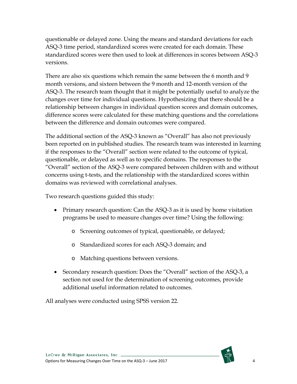questionable or delayed zone. Using the means and standard deviations for each ASQ-3 time period, standardized scores were created for each domain. These standardized scores were then used to look at differences in scores between ASQ-3 versions.

There are also six questions which remain the same between the 6 month and 9 month versions, and sixteen between the 9 month and 12-month version of the ASQ-3. The research team thought that it might be potentially useful to analyze the changes over time for individual questions. Hypothesizing that there should be a relationship between changes in individual question scores and domain outcomes, difference scores were calculated for these matching questions and the correlations between the difference and domain outcomes were compared.

The additional section of the ASQ-3 known as "Overall" has also not previously been reported on in published studies. The research team was interested in learning if the responses to the "Overall" section were related to the outcome of typical, questionable, or delayed as well as to specific domains. The responses to the "Overall" section of the ASQ-3 were compared between children with and without concerns using t-tests, and the relationship with the standardized scores within domains was reviewed with correlational analyses.

Two research questions guided this study:

- Primary research question: Can the ASQ-3 as it is used by home visitation programs be used to measure changes over time? Using the following:
	- o Screening outcomes of typical, questionable, or delayed;
	- o Standardized scores for each ASQ-3 domain; and
	- o Matching questions between versions.
- Secondary research question: Does the "Overall" section of the ASQ-3, a section not used for the determination of screening outcomes, provide additional useful information related to outcomes.

All analyses were conducted using SPSS version 22.

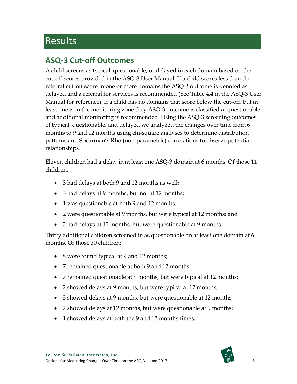## Results

### **ASQ-3 Cut-off Outcomes**

A child screens as typical, questionable, or delayed in each domain based on the cut-off scores provided in the ASQ-3 User Manual. If a child scores less than the referral cut-off score in one or more domains the ASQ-3 outcome is denoted as delayed and a referral for services is recommended (See Table 4.4 in the ASQ-3 User Manual for reference). If a child has no domains that score below the cut-off, but at least one is in the monitoring zone they ASQ-3 outcome is classified at questionable and additional monitoring is recommended. Using the ASQ-3 screening outcomes of typical, questionable, and delayed we analyzed the changes over time from 6 months to 9 and 12 months using chi-square analyses to determine distribution patterns and Spearman's Rho (non-parametric) correlations to observe potential relationships.

Eleven children had a delay in at least one ASQ-3 domain at 6 months. Of those 11 children:

- 3 had delays at both 9 and 12 months as well;
- 3 had delays at 9 months, but not at 12 months;
- 1 was questionable at both 9 and 12 months.
- 2 were questionable at 9 months, but were typical at 12 months; and
- 2 had delays at 12 months, but were questionable at 9 months.

Thirty additional children screened in as questionable on at least one domain at 6 months. Of those 30 children:

- 8 were found typical at 9 and 12 months;
- 7 remained questionable at both 9 and 12 months
- 7 remained questionable at 9 months, but were typical at 12 months;
- 2 showed delays at 9 months, but were typical at 12 months;
- 3 showed delays at 9 months, but were questionable at 12 months;
- 2 showed delays at 12 months, but were questionable at 9 months;
- 1 showed delays at both the 9 and 12 months times.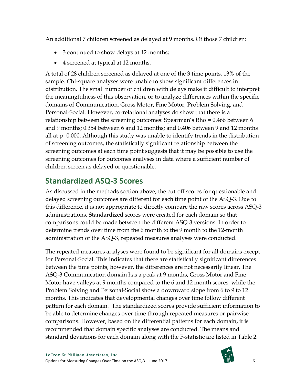An additional 7 children screened as delayed at 9 months. Of those 7 children:

- 3 continued to show delays at 12 months;
- 4 screened at typical at 12 months.

A total of 28 children screened as delayed at one of the 3 time points, 13% of the sample. Chi-square analyses were unable to show significant differences in distribution. The small number of children with delays make it difficult to interpret the meaningfulness of this observation, or to analyze differences within the specific domains of Communication, Gross Motor, Fine Motor, Problem Solving, and Personal-Social. However, correlational analyses do show that there is a relationship between the screening outcomes: Spearman's Rho = 0.466 between 6 and 9 months; 0.354 between 6 and 12 months; and 0.406 between 9 and 12 months all at p=0.000. Although this study was unable to identify trends in the distribution of screening outcomes, the statistically significant relationship between the screening outcomes at each time point suggests that it may be possible to use the screening outcomes for outcomes analyses in data where a sufficient number of children screen as delayed or questionable.

### **Standardized ASQ-3 Scores**

As discussed in the methods section above, the cut-off scores for questionable and delayed screening outcomes are different for each time point of the ASQ-3. Due to this difference, it is not appropriate to directly compare the raw scores across ASQ-3 administrations. Standardized scores were created for each domain so that comparisons could be made between the different ASQ-3 versions. In order to determine trends over time from the 6 month to the 9 month to the 12-month administration of the ASQ-3, repeated measures analyses were conducted.

The repeated measures analyses were found to be significant for all domains except for Personal-Social. This indicates that there are statistically significant differences between the time points, however, the differences are not necessarily linear. The ASQ-3 Communication domain has a peak at 9 months, Gross Motor and Fine Motor have valleys at 9 months compared to the 6 and 12 month scores, while the Problem Solving and Personal-Social show a downward slope from 6 to 9 to 12 months. This indicates that developmental changes over time follow different pattern for each domain. The standardized scores provide sufficient information to be able to determine changes over time through repeated measures or pairwise comparisons. However, based on the differential patterns for each domain, it is recommended that domain specific analyses are conducted. The means and standard deviations for each domain along with the F-statistic are listed in Table 2.

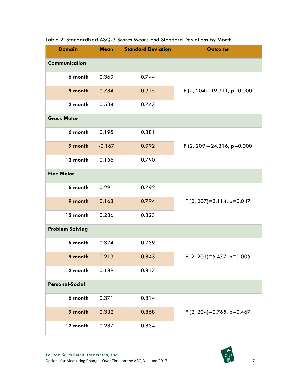| <b>Domain</b>          | Mean     | <b>Standard Deviation</b> | <b>Outcome</b>                |
|------------------------|----------|---------------------------|-------------------------------|
| Communication          |          |                           |                               |
| 6 month                | 0.369    | 0.744                     |                               |
| 9 month                | 0.784    | 0.915                     | F $(2, 204)=19.911$ , p=0.000 |
| 12 month               | 0.534    | 0.743                     |                               |
| <b>Gross Motor</b>     |          |                           |                               |
| 6 month                | 0.195    | 0.881                     |                               |
| 9 month                | $-0.167$ | 0.992                     | F (2, 209)=24.316, p=0.000    |
| 12 month               | 0.156    | 0.790                     |                               |
| <b>Fine Motor</b>      |          |                           |                               |
| 6 month                | 0.291    | 0.792                     |                               |
| 9 month                | 0.168    | 0.794                     | F $(2, 207)=3.114$ , p=0.047  |
| 12 month               | 0.286    | 0.823                     |                               |
| <b>Problem Solving</b> |          |                           |                               |
| 6 month                | 0.374    | 0.739                     |                               |
| 9 month                | 0.213    | 0.843                     | F $(2, 201)=5.477$ , p=0.005  |
| 12 month               | 0.189    | 0.817                     |                               |
| <b>Personal-Social</b> |          |                           |                               |
| 6 month                | 0.371    | 0.814                     |                               |
| 9 month                | 0.332    | 0.868                     | F (2, 204)=0.765, p=0.467     |
| 12 month               | 0.287    | 0.834                     |                               |

#### Table 2: Standardized ASQ-3 Scores Means and Standard Deviations by Month

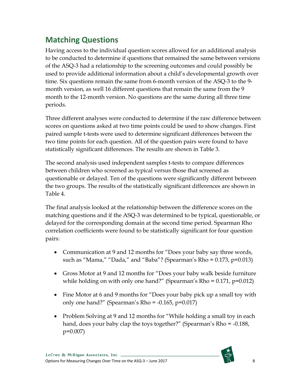### **Matching Questions**

Having access to the individual question scores allowed for an additional analysis to be conducted to determine if questions that remained the same between versions of the ASQ-3 had a relationship to the screening outcomes and could possibly be used to provide additional information about a child's developmental growth over time. Six questions remain the same from 6-month version of the ASQ-3 to the 9 month version, as well 16 different questions that remain the same from the 9 month to the 12-month version. No questions are the same during all three time periods.

Three different analyses were conducted to determine if the raw difference between scores on questions asked at two time points could be used to show changes. First paired sample t-tests were used to determine significant differences between the two time points for each question. All of the question pairs were found to have statistically significant differences. The results are shown in Table 3.

The second analysis used independent samples t-tests to compare differences between children who screened as typical versus those that screened as questionable or delayed. Ten of the questions were significantly different between the two groups. The results of the statistically significant differences are shown in Table 4.

The final analysis looked at the relationship between the difference scores on the matching questions and if the ASQ-3 was determined to be typical, questionable, or delayed for the corresponding domain at the second time period. Spearman Rho correlation coefficients were found to be statistically significant for four question pairs:

- Communication at 9 and 12 months for "Does your baby say three words, such as "Mama," "Dada," and "Baba"? (Spearman's Rho = 0.173, p=0.013)
- Gross Motor at 9 and 12 months for "Does your baby walk beside furniture while holding on with only one hand?" (Spearman's Rho =  $0.171$ , p= $0.012$ )
- Fine Motor at 6 and 9 months for "Does your baby pick up a small toy with only one hand?" (Spearman's Rho =  $-0.165$ , p= $0.017$ )
- Problem Solving at 9 and 12 months for "While holding a small toy in each hand, does your baby clap the toys together?" (Spearman's Rho = -0.188, p=0.007)

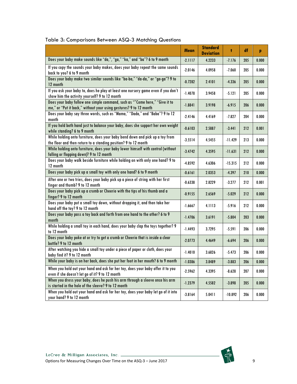|                                                                                                                                                  | <b>Mean</b> | <b>Standard</b><br><b>Deviation</b> | ŧ         | df  | p     |
|--------------------------------------------------------------------------------------------------------------------------------------------------|-------------|-------------------------------------|-----------|-----|-------|
| Does your baby make sounds like "da,", "ga," "ka," and "ba"? 6 to 9 month                                                                        | $-2.1117$   | 4.2233                              | $-7.176$  | 205 | 0.000 |
| If you copy the sounds your baby makes, does your baby repeat the same sounds<br>back to you? 6 to 9 month                                       | $-2.0146$   | 4.0958                              | $-7.060$  | 205 | 0.000 |
| Does your baby make two similar sounds like "ba-ba," "da-da," or "ga-ga"? 9 to<br>12 month                                                       | $-0.7282$   | 2.4101                              | $-4.336$  | 205 | 0.000 |
| If you ask your baby to, does he play at least one nursery game even if you don't<br>show him the activity yourself? 9 to 12 month               | $-1.4078$   | 3.9458                              | $-5.121$  | 205 | 0.000 |
| Does your baby follow one simple command, such as ""Come here," "Give it to<br>me," or "Put it back," without your using gestures? 9 to 12 month | $-1.8841$   | 3.9198                              | $-6.915$  | 206 | 0.000 |
| Does your baby say three words, such as "Mama," "Dada," and "Baba"? 9 to 12<br>month                                                             | $-2.4146$   | 4.4169                              | $-7.827$  | 204 | 0.000 |
| If you hold both hand just to balance your baby, does she support her own weight<br>while standing? 6 to 9 month                                 | $-0.6103$   | 2.5887                              | $-3.441$  | 212 | 0.001 |
| While holding onto furniture, does your baby bend down and pick up a toy from<br>the floor and then return to a standing position? 9 to 12 month | $-3.5514$   | 4.5455                              | $-11.429$ | 213 | 0.000 |
| While holding onto furniture, does your baby lower himself with control (without<br>falling or flopping down)? 9 to 12 month                     | $-3.4742$   | 4.3595                              | $-11.631$ | 212 | 0.000 |
| Does your baby walk beside furniture while holding on with only one hand? 9 to<br>12 month                                                       | $-4.8592$   | 4.6306                              | $-15.315$ | 212 | 0.000 |
| Does your baby pick up a small toy with only one hand? 6 to 9 month                                                                              | $-0.6161$   | 2.0353                              | $-4.397$  | 210 | 0.000 |
| After one or two tries, does your baby pick up a piece of string with her first<br>finger and thumb? 9 to 12 month                               | $-0.6338$   | 2.8229                              | $-3.277$  | 212 | 0.001 |
| Does your baby pick up a crumb or Cheerio with the tips of his thumb and a<br>finger? 9 to 12 month                                              | $-0.9155$   | 2.6569                              | $-5.029$  | 212 | 0.000 |
| Does your baby put a small toy down, without dropping it, and then take her<br>hand off the toy? 9 to 12 month                                   | $-1.6667$   | 4.1113                              | $-5.916$  | 212 | 0.000 |
| Does your baby pass a toy back and forth from one hand to the other? 6 to 9<br>month                                                             | $-1.4706$   | 3.6191                              | $-5.804$  | 203 | 0.000 |
| While holding a small toy in each hand, does your baby clap the toys together? 9<br>to 12 month                                                  | $-1.4493$   | 3.7295                              | $-5.591$  | 206 | 0.000 |
| Does your baby poke at or try to get a crumb or Cheerio that is inside a clear<br>bottle? 9 to 12 month                                          | $-2.0773$   | 4.4649                              | $-6.694$  | 206 | 0.000 |
| After watching you hide a small toy under a piece of paper or cloth, does your<br>baby find it? 9 to 12 month                                    | $-1.4010$   | 3.6826                              | $-5.473$  | 206 | 0.000 |
| While your baby is on her back, does she put her foot in her mouth? 6 to 9 month                                                                 | $-1.0386$   | 3.8489                              | $-3.883$  | 206 | 0.000 |
| When you hold out your hand and ask for her toy, does your baby offer it to you<br>even if she doesn't let go of it? 9 to 12 month               | $-2.5962$   | 4.3395                              | $-8.628$  | 207 | 0.000 |
| When you dress your baby, does he push his arm through a sleeve once his arm<br>is started in the hole of the sleeve? 9 to 12 month              | $-1.2379$   | 4.5582                              | $-3.898$  | 205 | 0.000 |
| When you hold out your hand and ask for her toy, does your baby let go of it into<br>your hand? 9 to 12 month                                    | $-3.8164$   | 5.0411                              | $-10.892$ | 206 | 0.000 |

#### Table 3: Comparisons Between ASQ-3 Matching Questions

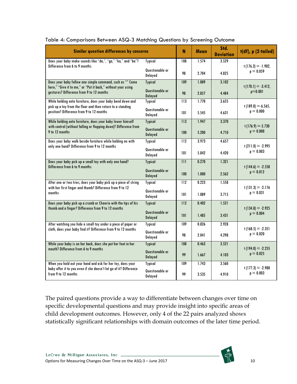| <b>Similar question differences by concerns</b>                                                          |                            |                  | <b>Mean</b> | Std.<br><b>Deviation</b> | t(df), p (2-tailed)                 |
|----------------------------------------------------------------------------------------------------------|----------------------------|------------------|-------------|--------------------------|-------------------------------------|
| Does your baby make sounds like "da,", "ga," "ka," and "ba"?                                             | <b>Typical</b>             | 108              | 1.574       | 3.529                    |                                     |
| Difference from 6 to 9 months                                                                            | Questionable or<br>Delayed | 98               | 2.704       | 4.825                    | $t(176.3) = -1.902,$<br>$p = 0.059$ |
| Does your baby follow one simple command, such as "" Come                                                | <b>Typical</b>             | 109              | 1.009       | 3.102                    |                                     |
| here," "Give it to me," or "Put it back," without your using<br>gestures? Difference from 9 to 12 months | Questionable or<br>Delayed | 98               | 2.857       | 4.484                    | $t(170.1) = -3.412,$<br>$p=0.001$   |
| While holding onto furniture, does your baby bend down and                                               | <b>Typical</b>             | 113              | 1.770       | 3.655                    |                                     |
| pick up a toy from the floor and then return to a standing<br>position? Difference from 9 to 12 months   | Questionable or<br>Delayed | 101              | 5.545       | 4.631                    | $t(189.8) = -6.565$<br>$p = 0.000$  |
| While holding onto furniture, does your baby lower himself                                               | <b>Typical</b>             | 113              | 1.947       | 3.370                    |                                     |
| with control (without falling or flopping down)? Difference from<br>9 to 12 months                       | Questionable or<br>Delayed | 100              | 5.200       | 4.710                    | $t(176.9) = -5.730$<br>$p = 0.000$  |
| Does your baby walk beside furniture while holding on with                                               | <b>Typical</b>             | 112              | 3.973       | 4.657                    |                                     |
| only one hand? Difference from 9 to 12 months                                                            | Questionable or<br>Delayed | 101              | 5.842       | 4.420                    | $t(211.0) = -2.995$<br>$p = 0.003$  |
| Does your baby pick up a small toy with only one hand?                                                   | <b>Typical</b>             | $\overline{111}$ | 0.270       | 1.321                    |                                     |
| Difference from 6 to 9 months                                                                            | Questionable or<br>Delayed | 100              | 1.000       | 2.562                    | $t(144.6) = -2.558$<br>$p = 0.012$  |
| After one or two tries, does your baby pick up a piece of string                                         | <b>Typical</b>             | 112              | 0.223       | 1.558                    |                                     |
| with her first finger and thumb? Difference from 9 to 12<br>months                                       | Questionable or<br>Delayed | 101              | 1.089       | 3.715                    | $t(131.3) = -2.176$<br>$p = 0.031$  |
| Does your baby pick up a crumb or Cheerio with the tips of his                                           | <b>Typical</b>             | 112              | 0.402       | 1.521                    |                                     |
| thumb and a finger? Difference from 9 to 12 months                                                       | Questionable or<br>Delayed | 101              | 1.485       | 3.431                    | $t(134.8) = -2.925$<br>$p = 0.004$  |
| After watching you hide a small toy under a piece of paper or                                            | <b>Typical</b>             | 109              | 0.826       | 2.928                    |                                     |
| cloth, does your baby find it? Difference from 9 to 12 months                                            | Questionable or<br>Delayed | 98               | 2.041       | 4.298                    | $t(168.5) = -2.351$<br>$p = 0.020$  |
| While your baby is on her back, does she put her foot in her                                             | <b>Typical</b>             | 108              | 0.463       | 3.521                    |                                     |
| mouth? Difference from 6 to 9 months                                                                     | Questionable or<br>Delayed | 99               | 1.667       | 4.103                    | $t(194.0) = -2.255$<br>$p = 0.025$  |
| When you hold out your hand and ask for her toy, does your                                               | <b>Typical</b>             | 109              | 1.743       | 3.560                    | $t(177.3) = -2.988$                 |
| baby offer it to you even if she doesn't let go of it? Difference<br>from 9 to 12 months                 | Questionable or<br>Delayed | 99               | 3.535       | 4.910                    | $p = 0.003$                         |

Table 4: Comparisons Between ASQ-3 Matching Questions by Screening Outcome

The paired questions provide a way to differentiate between changes over time on specific developmental questions and may provide insight into specific areas of child development outcomes. However, only 4 of the 22 pairs analyzed shows statistically significant relationships with domain outcomes of the later time period.

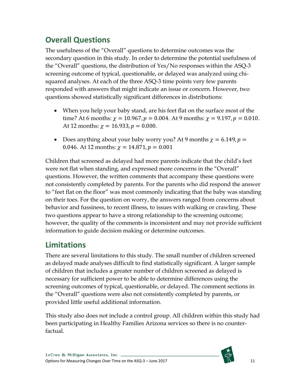### **Overall Questions**

The usefulness of the "Overall" questions to determine outcomes was the secondary question in this study. In order to determine the potential usefulness of the "Overall" questions, the distribution of Yes/No responses within the ASQ-3 screening outcome of typical, questionable, or delayed was analyzed using chisquared analyses. At each of the three ASQ-3 time points very few parents responded with answers that might indicate an issue or concern. However, two questions showed statistically significant differences in distributions:

- When you help your baby stand, are his feet flat on the surface most of the time? At 6 months:  $\chi = 10.967$ ,  $p = 0.004$ . At 9 months:  $\chi = 9.197$ ,  $p = 0.010$ . At 12 months:  $\chi = 16.933, p = 0.000$ .
- Does anything about your baby worry you? At 9 months  $\chi = 6.149$ ,  $p =$ 0.046. At 12 months:  $\gamma = 14.871$ ,  $p = 0.001$

Children that screened as delayed had more parents indicate that the child's feet were not flat when standing, and expressed more concerns in the "Overall" questions. However, the written comments that accompany these questions were not consistently completed by parents. For the parents who did respond the answer to "feet flat on the floor" was most commonly indicating that the baby was standing on their toes. For the question on worry, the answers ranged from concerns about behavior and fussiness, to recent illness, to issues with walking or crawling. These two questions appear to have a strong relationship to the screening outcome; however, the quality of the comments is inconsistent and may not provide sufficient information to guide decision making or determine outcomes.

### **Limitations**

There are several limitations to this study. The small number of children screened as delayed made analyses difficult to find statistically significant. A larger sample of children that includes a greater number of children screened as delayed is necessary for sufficient power to be able to determine differences using the screening outcomes of typical, questionable, or delayed. The comment sections in the "Overall" questions were also not consistently completed by parents, or provided little useful additional information.

This study also does not include a control group. All children within this study had been participating in Healthy Families Arizona services so there is no counterfactual.

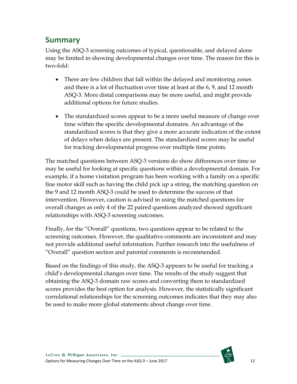#### **Summary**

Using the ASQ-3 screening outcomes of typical, questionable, and delayed alone may be limited in showing developmental changes over time. The reason for this is two-fold:

- There are few children that fall within the delayed and monitoring zones and there is a lot of fluctuation over time at least at the 6, 9, and 12 month ASQ-3. More distal comparisons may be more useful, and might provide additional options for future studies.
- The standardized scores appear to be a more useful measure of change over time within the specific developmental domains. An advantage of the standardized scores is that they give a more accurate indication of the extent of delays when delays are present. The standardized scores may be useful for tracking developmental progress over multiple time points.

The matched questions between ASQ-3 versions do show differences over time so may be useful for looking at specific questions within a developmental domain. For example, if a home visitation program has been working with a family on a specific fine motor skill such as having the child pick up a string, the matching question on the 9 and 12 month ASQ-3 could be used to determine the success of that intervention. However, caution is advised in using the matched questions for overall changes as only 4 of the 22 paired questions analyzed showed significant relationships with ASQ-3 screening outcomes.

Finally, for the "Overall" questions, two questions appear to be related to the screening outcomes. However, the qualitative comments are inconsistent and may not provide additional useful information. Further research into the usefulness of "Overall" question section and parental comments is recommended.

Based on the findings of this study, the ASQ-3 appears to be useful for tracking a child's developmental changes over time. The results of the study suggest that obtaining the ASQ-3 domain raw scores and converting them to standardized scores provides the best option for analysis. However, the statistically significant correlational relationships for the screening outcomes indicates that they may also be used to make more global statements about change over time.